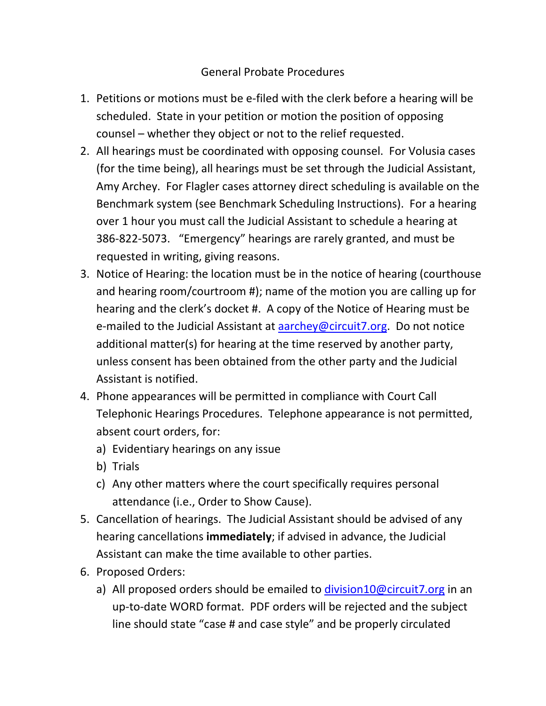## General Probate Procedures

- 1. Petitions or motions must be e-filed with the clerk before a hearing will be scheduled. State in your petition or motion the position of opposing counsel – whether they object or not to the relief requested.
- 2. All hearings must be coordinated with opposing counsel. For Volusia cases (for the time being), all hearings must be set through the Judicial Assistant, Amy Archey. For Flagler cases attorney direct scheduling is available on the Benchmark system (see Benchmark Scheduling Instructions). For a hearing over 1 hour you must call the Judicial Assistant to schedule a hearing at 386-822-5073. "Emergency" hearings are rarely granted, and must be requested in writing, giving reasons.
- 3. Notice of Hearing: the location must be in the notice of hearing (courthouse and hearing room/courtroom #); name of the motion you are calling up for hearing and the clerk's docket #. A copy of the Notice of Hearing must be e-mailed to the Judicial Assistant at [aarchey@circuit7.org.](mailto:aarchey@circuit7.org) Do not notice additional matter(s) for hearing at the time reserved by another party, unless consent has been obtained from the other party and the Judicial Assistant is notified.
- 4. Phone appearances will be permitted in compliance with Court Call Telephonic Hearings Procedures. Telephone appearance is not permitted, absent court orders, for:
	- a) Evidentiary hearings on any issue
	- b) Trials
	- c) Any other matters where the court specifically requires personal attendance (i.e., Order to Show Cause).
- 5. Cancellation of hearings. The Judicial Assistant should be advised of any hearing cancellations **immediately**; if advised in advance, the Judicial Assistant can make the time available to other parties.
- 6. Proposed Orders:
	- a) All proposed orders should be emailed to [division10@circuit7.org](mailto:division10@circuit7.org) in an up-to-date WORD format. PDF orders will be rejected and the subject line should state "case # and case style" and be properly circulated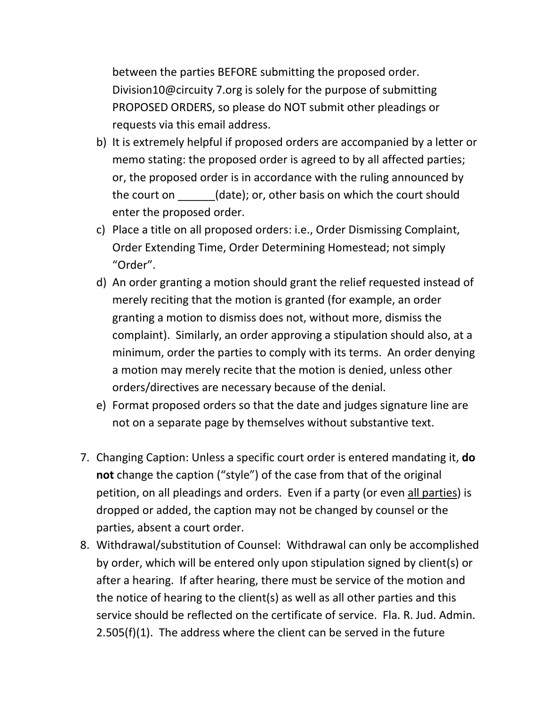between the parties BEFORE submitting the proposed order. Division10@circuity 7.org is solely for the purpose of submitting PROPOSED ORDERS, so please do NOT submit other pleadings or requests via this email address.

- b) It is extremely helpful if proposed orders are accompanied by a letter or memo stating: the proposed order is agreed to by all affected parties; or, the proposed order is in accordance with the ruling announced by the court on  $(date)$ ; or, other basis on which the court should enter the proposed order.
- c) Place a title on all proposed orders: i.e., Order Dismissing Complaint, Order Extending Time, Order Determining Homestead; not simply "Order".
- d) An order granting a motion should grant the relief requested instead of merely reciting that the motion is granted (for example, an order granting a motion to dismiss does not, without more, dismiss the complaint). Similarly, an order approving a stipulation should also, at a minimum, order the parties to comply with its terms. An order denying a motion may merely recite that the motion is denied, unless other orders/directives are necessary because of the denial.
- e) Format proposed orders so that the date and judges signature line are not on a separate page by themselves without substantive text.
- 7. Changing Caption: Unless a specific court order is entered mandating it, **do not** change the caption ("style") of the case from that of the original petition, on all pleadings and orders. Even if a party (or even all parties) is dropped or added, the caption may not be changed by counsel or the parties, absent a court order.
- 8. Withdrawal/substitution of Counsel: Withdrawal can only be accomplished by order, which will be entered only upon stipulation signed by client(s) or after a hearing. If after hearing, there must be service of the motion and the notice of hearing to the client(s) as well as all other parties and this service should be reflected on the certificate of service. Fla. R. Jud. Admin. 2.505(f)(1). The address where the client can be served in the future